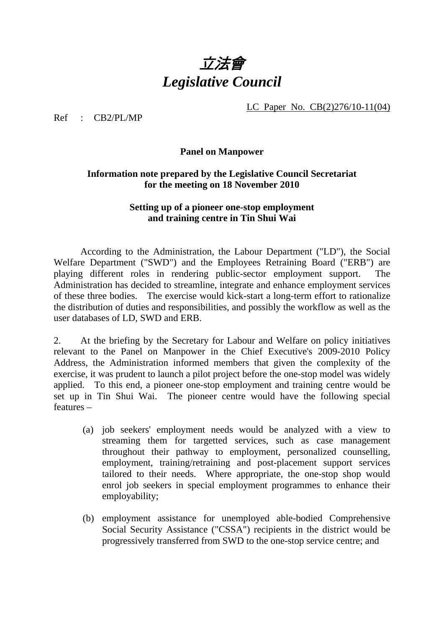

LC Paper No. CB(2)276/10-11(04)

Ref : CB2/PL/MP

## **Panel on Manpower**

## **Information note prepared by the Legislative Council Secretariat for the meeting on 18 November 2010**

## **Setting up of a pioneer one-stop employment and training centre in Tin Shui Wai**

 According to the Administration, the Labour Department ("LD"), the Social Welfare Department ("SWD") and the Employees Retraining Board ("ERB") are playing different roles in rendering public-sector employment support. The Administration has decided to streamline, integrate and enhance employment services of these three bodies. The exercise would kick-start a long-term effort to rationalize the distribution of duties and responsibilities, and possibly the workflow as well as the user databases of LD, SWD and ERB.

2. At the briefing by the Secretary for Labour and Welfare on policy initiatives relevant to the Panel on Manpower in the Chief Executive's 2009-2010 Policy Address, the Administration informed members that given the complexity of the exercise, it was prudent to launch a pilot project before the one-stop model was widely applied. To this end, a pioneer one-stop employment and training centre would be set up in Tin Shui Wai. The pioneer centre would have the following special features –

- (a) job seekers' employment needs would be analyzed with a view to streaming them for targetted services, such as case management throughout their pathway to employment, personalized counselling, employment, training/retraining and post-placement support services tailored to their needs. Where appropriate, the one-stop shop would enrol job seekers in special employment programmes to enhance their employability;
- (b) employment assistance for unemployed able-bodied Comprehensive Social Security Assistance ("CSSA") recipients in the district would be progressively transferred from SWD to the one-stop service centre; and